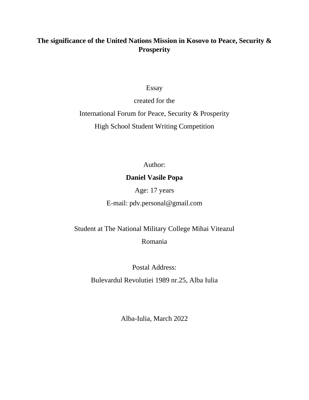### **The significance of the United Nations Mission in Kosovo to Peace, Security & Prosperity**

Essay

created for the International Forum for Peace, Security & Prosperity High School Student Writing Competition

Author:

#### **Daniel Vasile Popa**

Age: 17 years

E-mail: pdv.personal@gmail.com

Student at The National Military College Mihai Viteazul Romania

Postal Address:

Bulevardul Revolutiei 1989 nr.25, Alba Iulia

Alba-Iulia, March 2022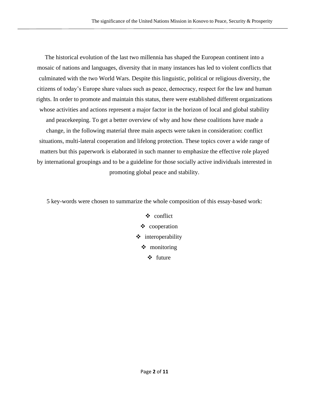The historical evolution of the last two millennia has shaped the European continent into a mosaic of nations and languages, diversity that in many instances has led to violent conflicts that culminated with the two World Wars. Despite this linguistic, political or religious diversity, the citizens of today's Europe share values such as peace, democracy, respect for the law and human rights. In order to promote and maintain this status, there were established different organizations whose activities and actions represent a major factor in the horizon of local and global stability and peacekeeping. To get a better overview of why and how these coalitions have made a change, in the following material three main aspects were taken in consideration: conflict situations, multi-lateral cooperation and lifelong protection. These topics cover a wide range of matters but this paperwork is elaborated in such manner to emphasize the effective role played by international groupings and to be a guideline for those socially active individuals interested in promoting global peace and stability.

5 key-words were chosen to summarize the whole composition of this essay-based work:

❖ conflict ❖ cooperation ❖ interoperability ❖ monitoring ❖ future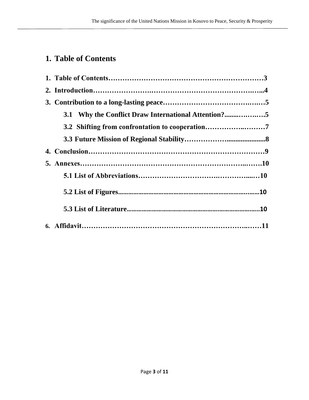# **1. Table of Contents**

| 3.1 Why the Conflict Draw International Attention?5 |  |
|-----------------------------------------------------|--|
| 3.2 Shifting from confrontation to cooperation      |  |
|                                                     |  |
|                                                     |  |
|                                                     |  |
|                                                     |  |
|                                                     |  |
|                                                     |  |
|                                                     |  |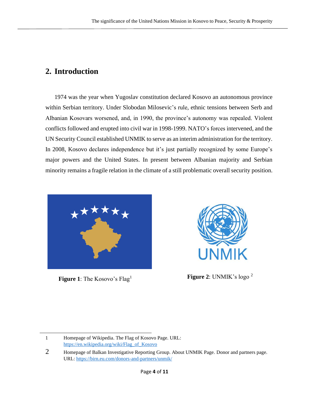## **2. Introduction**

1974 was the year when Yugoslav constitution declared Kosovo an autonomous province within Serbian territory. Under Slobodan Milosevic's rule, ethnic tensions between Serb and Albanian Kosovars worsened, and, in 1990, the province's autonomy was repealed. Violent conflicts followed and erupted into civil war in 1998-1999. NATO's forces intervened, and the UN Security Council established UNMIK to serve as an interim administration for the territory. In 2008, Kosovo declares independence but it's just partially recognized by some Europe's major powers and the United States. In present between Albanian majority and Serbian minority remains a fragile relation in the climate of a still problematic overall security position.



**Figure 1**: The Kosovo's Flag<sup>1</sup> **Figure 2**: UNMIK's logo<sup>2</sup>



<sup>1</sup> Homepage of Wikipedia. The Flag of Kosovo Page. URL: [https://en.wikipedia.org/wiki/Flag\\_of\\_Kosovo](https://en.wikipedia.org/wiki/Flag_of_Kosovo)

<sup>2</sup> Homepage of Balkan Investigative Reporting Group. About UNMIK Page. Donor and partners page. URL:<https://birn.eu.com/donors-and-partners/unmik/>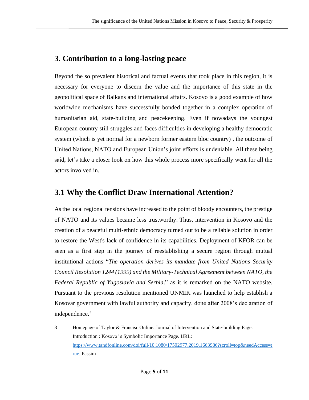# **3. Contribution to a long-lasting peace**

Beyond the so prevalent historical and factual events that took place in this region, it is necessary for everyone to discern the value and the importance of this state in the geopolitical space of Balkans and international affairs. Kosovo is a good example of how worldwide mechanisms have successfully bonded together in a complex operation of humanitarian aid, state-building and peacekeeping. Even if nowadays the youngest European country still struggles and faces difficulties in developing a healthy democratic system (which is yet normal for a newborn former eastern bloc country) , the outcome of United Nations, NATO and European Union's joint efforts is undeniable. All these being said, let's take a closer look on how this whole process more specifically went for all the actors involved in.

### **3.1 Why the Conflict Draw International Attention?**

As the local regional tensions have increased to the point of bloody encounters, the prestige of NATO and its values became less trustworthy. Thus, intervention in Kosovo and the creation of a peaceful multi-ethnic democracy turned out to be a reliable solution in order to restore the West's lack of confidence in its capabilities. Deployment of KFOR can be seen as a first step in the journey of reestablishing a secure region through mutual institutional actions "*The operation derives its mandate from United Nations Security Council Resolution 1244 (1999) and the Military-Technical Agreement between NATO, the Federal Republic of Yugoslavia and Serbia*." as it is remarked on the NATO website. Pursuant to the previous resolution mentioned UNMIK was launched to help establish a Kosovar government with lawful authority and capacity, done after 2008's declaration of independence. 3

<sup>3</sup> Homepage of Taylor & Francisc Online. Journal of Intervention and State-building Page. Introduction : Kosovo' s Symbolic Importance Page. URL: [https://www.tandfonline.com/doi/full/10.1080/17502977.2019.1663986?scroll=top&needAccess=t](https://www.tandfonline.com/doi/full/10.1080/17502977.2019.1663986?scroll=top&needAccess=true) [rue.](https://www.tandfonline.com/doi/full/10.1080/17502977.2019.1663986?scroll=top&needAccess=true) Passim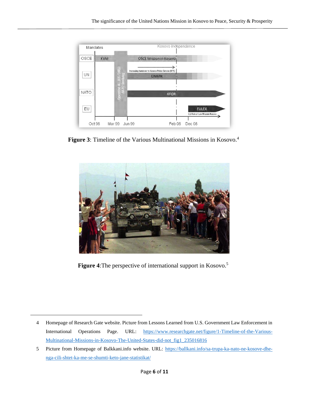

**Figure 3**: Timeline of the Various Multinational Missions in Kosovo.<sup>4</sup>



**Figure 4**:The perspective of international support in Kosovo. 5

<sup>4</sup> Homepage of Research Gate website. Picture from Lessons Learned from U.S. Government Law Enforcement in International Operations Page. URL: [https://www.researchgate.net/figure/1-Timeline-of-the-Various-](https://www.researchgate.net/figure/1-Timeline-of-the-Various-Multinational-Missions-in-Kosovo-The-United-States-did-not_fig1_235016816)[Multinational-Missions-in-Kosovo-The-United-States-did-not\\_fig1\\_235016816](https://www.researchgate.net/figure/1-Timeline-of-the-Various-Multinational-Missions-in-Kosovo-The-United-States-did-not_fig1_235016816)

<sup>5</sup> Picture from Homepage of Balkkani.info website. URL: [https://ballkani.info/sa-trupa-ka-nato-ne-kosove-dhe](https://ballkani.info/sa-trupa-ka-nato-ne-kosove-dhe-nga-cili-shtet-ka-me-se-shumti-keto-jane-statistikat/)[nga-cili-shtet-ka-me-se-shumti-keto-jane-statistikat/](https://ballkani.info/sa-trupa-ka-nato-ne-kosove-dhe-nga-cili-shtet-ka-me-se-shumti-keto-jane-statistikat/)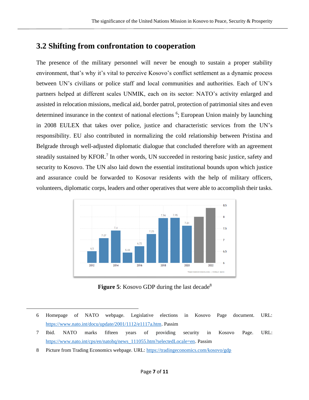### **3.2 Shifting from confrontation to cooperation**

The presence of the military personnel will never be enough to sustain a proper stability environment, that's why it's vital to perceive Kosovo's conflict settlement as a dynamic process between UN's civilians or police staff and local communities and authorities. Each of UN's partners helped at different scales UNMIK, each on its sector: NATO's activity enlarged and assisted in relocation missions, medical aid, border patrol, protection of patrimonial sites and even determined insurance in the context of national elections <sup>6</sup>; European Union mainly by launching in 2008 EULEX that takes over police, justice and characteristic services from the UN's responsibility. EU also contributed in normalizing the cold relationship between Pristina and Belgrade through well-adjusted diplomatic dialogue that concluded therefore with an agreement steadily sustained by KFOR.<sup>7</sup> In other words, UN succeeded in restoring basic justice, safety and security to Kosovo. The UN also laid down the essential institutional bounds upon which justice and assurance could be forwarded to Kosovar residents with the help of military officers, volunteers, diplomatic corps, leaders and other operatives that were able to accomplish their tasks.



**Figure 5**: Kosovo GDP during the last decade<sup>8</sup>

- 6 Homepage of NATO webpage. Legislative elections in Kosovo Page document. URL: [https://www.nato.int/docu/update/2001/1112/e1117a.htm.](https://www.nato.int/docu/update/2001/1112/e1117a.htm) Passim
- 7 Ibid. NATO marks fifteen years of providing security in Kosovo Page. URL: [https://www.nato.int/cps/en/natohq/news\\_111055.htm?selectedLocale=en.](https://www.nato.int/cps/en/natohq/news_111055.htm?selectedLocale=en) Passim
- 8 Picture from Trading Economics webpage. URL: <https://tradingeconomics.com/kosovo/gdp>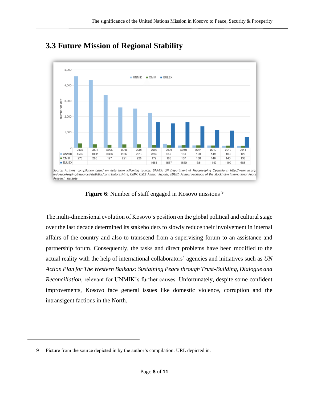

# **3.3 Future Mission of Regional Stability**

**Figure 6**: Number of staff engaged in Kosovo missions <sup>9</sup>

The multi-dimensional evolution of Kosovo's position on the global political and cultural stage over the last decade determined its stakeholders to slowly reduce their involvement in internal affairs of the country and also to transcend from a supervising forum to an assistance and partnership forum. Consequently, the tasks and direct problems have been modified to the actual reality with the help of international collaborators' agencies and initiatives such as *UN Action Plan for The Western Balkans: Sustaining Peace through Trust-Building, Dialogue and Reconciliation*, relevant for UNMIK's further causes. Unfortunately, despite some confident improvements, Kosovo face general issues like domestic violence, corruption and the intransigent factions in the North.

<sup>9</sup> Picture from the source depicted in by the author's compilation. URL depicted in.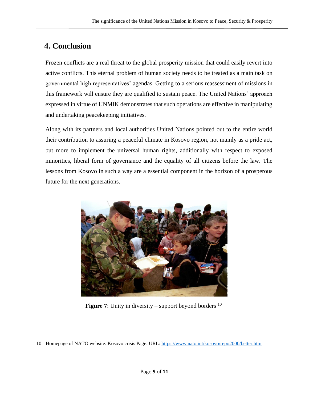# **4. Conclusion**

Frozen conflicts are a real threat to the global prosperity mission that could easily revert into active conflicts. This eternal problem of human society needs to be treated as a main task on governmental high representatives' agendas. Getting to a serious reassessment of missions in this framework will ensure they are qualified to sustain peace. The United Nations' approach expressed in virtue of UNMIK demonstrates that such operations are effective in manipulating and undertaking peacekeeping initiatives.

Along with its partners and local authorities United Nations pointed out to the entire world their contribution to assuring a peaceful climate in Kosovo region, not mainly as a pride act, but more to implement the universal human rights, additionally with respect to exposed minorities, liberal form of governance and the equality of all citizens before the law. The lessons from Kosovo in such a way are a essential component in the horizon of a prosperous future for the next generations.



**Figure 7:** Unity in diversity – support beyond borders  $^{10}$ 

<sup>10</sup> Homepage of NATO website. Kosovo crisis Page. URL:<https://www.nato.int/kosovo/repo2000/better.htm>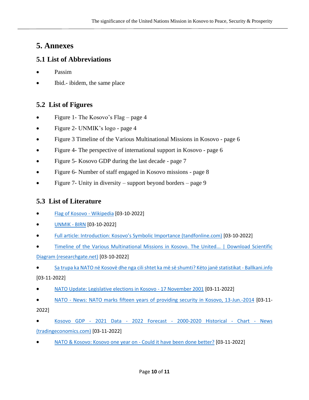### **5. Annexes**

#### **5.1 List of Abbreviations**

- Passim
- Ibid.- ibidem, the same place

#### **5.2 List of Figures**

- Figure 1- The Kosovo's Flag page 4
- Figure 2- UNMIK's logo page 4
- Figure 3 Timeline of the Various Multinational Missions in Kosovo page 6
- Figure 4- The perspective of international support in Kosovo page 6
- Figure 5- Kosovo GDP during the last decade page 7
- Figure 6- Number of staff engaged in Kosovo missions page 8
- Figure 7- Unity in diversity support beyond borders page 9

#### **5.3 List of Literature**

- [Flag of Kosovo -](https://en.wikipedia.org/wiki/Flag_of_Kosovo) Wikipedia [03-10-2022]
- [UNMIK -](https://birn.eu.com/donors-and-partners/unmik/) BIRN [03-10-2022]
- [Full article: Introduction: Kosovo's Symbolic Importance \(tandfonline.com\)](https://www.tandfonline.com/doi/full/10.1080/17502977.2019.1663986?scroll=top&needAccess=true) [03-10-2022]
- [Timeline of the Various Multinational Missions in Kosovo. The United... | Download Scientific](https://www.researchgate.net/figure/1-Timeline-of-the-Various-Multinational-Missions-in-Kosovo-The-United-States-did-not_fig1_235016816)  [Diagram \(researchgate.net\)](https://www.researchgate.net/figure/1-Timeline-of-the-Various-Multinational-Missions-in-Kosovo-The-United-States-did-not_fig1_235016816) [03-10-2022]
- [Sa trupa ka NATO në Kosovë dhe nga cili shtet ka më së shumti? Këto janë statistikat -](https://ballkani.info/sa-trupa-ka-nato-ne-kosove-dhe-nga-cili-shtet-ka-me-se-shumti-keto-jane-statistikat/) Ballkani.info [03-11-2022]
- [NATO Update: Legislative elections in Kosovo -](https://www.nato.int/docu/update/2001/1112/e1117a.htm) 17 November 2001 [03-11-2022]
- NATO [News: NATO marks fifteen years of providing security in Kosovo, 13-Jun.-2014](https://www.nato.int/cps/en/natohq/news_111055.htm?selectedLocale=en) [03-11- 2022]
- Kosovo GDP 2021 Data 2022 Forecast [2000-2020 Historical -](https://tradingeconomics.com/kosovo/gdp) Chart News [\(tradingeconomics.com\)](https://tradingeconomics.com/kosovo/gdp) [03-11-2022]
- [NATO & Kosovo: Kosovo one year on -](https://www.nato.int/kosovo/repo2000/better.htm) Could it have been done better? [03-11-2022]